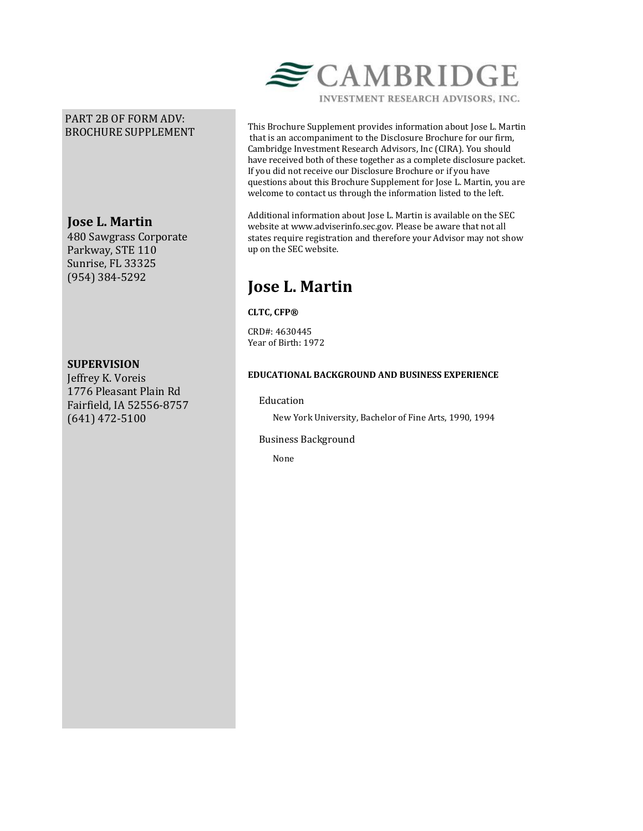# PART 2B OF FORM ADV: BROCHURE SUPPLEMENT

# **Jose L. Martin**

480 Sawgrass Corporate Parkway, STE 110 Sunrise, FL 33325 (954) 384-5292

## **SUPERVISION**

Jeffrey K. Voreis 1776 Pleasant Plain Rd Fairfield, IA 52556-8757 (641) 472-5100



INVESTMENT RESEARCH ADVISORS, INC.

This Brochure Supplement provides information about Jose L. Martin that is an accompaniment to the Disclosure Brochure for our firm, Cambridge Investment Research Advisors, Inc (CIRA). You should have received both of these together as a complete disclosure packet. If you did not receive our Disclosure Brochure or if you have questions about this Brochure Supplement for Jose L. Martin, you are welcome to contact us through the information listed to the left.

Additional information about Jose L. Martin is available on the SEC website at www.adviserinfo.sec.gov. Please be aware that not all states require registration and therefore your Advisor may not show up on the SEC website.

# **Jose L. Martin**

## **CLTC, CFP®**

CRD#: 4630445 Year of Birth: 1972

## **EDUCATIONAL BACKGROUND AND BUSINESS EXPERIENCE**

## Education

New York University, Bachelor of Fine Arts, 1990, 1994

#### Business Background

None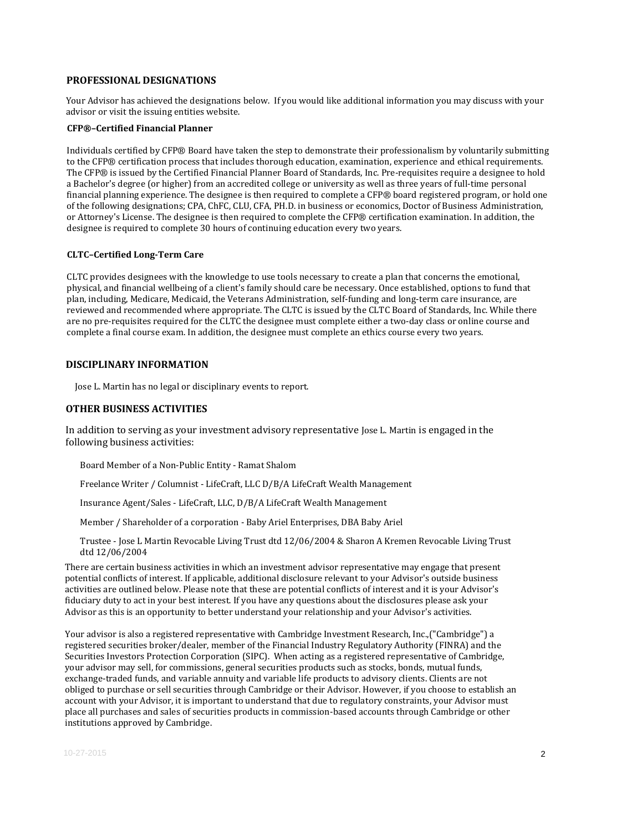#### **PROFESSIONAL DESIGNATIONS**

Your Advisor has achieved the designations below. If you would like additional information you may discuss with your advisor or visit the issuing entities website.

#### **CFP®–Certified Financial Planner**

Individuals certified by CFP® Board have taken the step to demonstrate their professionalism by voluntarily submitting to the CFP® certification process that includes thorough education, examination, experience and ethical requirements. The CFP® is issued by the Certified Financial Planner Board of Standards, Inc. Pre-requisites require a designee to hold a Bachelor's degree (or higher) from an accredited college or university as well as three years of full-time personal financial planning experience. The designee is then required to complete a CFP® board registered program, or hold one of the following designations; CPA, ChFC, CLU, CFA, PH.D. in business or economics, Doctor of Business Administration, or Attorney's License. The designee is then required to complete the CFP® certification examination. In addition, the designee is required to complete 30 hours of continuing education every two years.

#### **CLTC–Certified Long-Term Care**

CLTC provides designees with the knowledge to use tools necessary to create a plan that concerns the emotional, physical, and financial wellbeing of a client's family should care be necessary. Once established, options to fund that plan, including, Medicare, Medicaid, the Veterans Administration, self-funding and long-term care insurance, are reviewed and recommended where appropriate. The CLTC is issued by the CLTC Board of Standards, Inc. While there are no pre-requisites required for the CLTC the designee must complete either a two-day class or online course and complete a final course exam. In addition, the designee must complete an ethics course every two years.

#### **DISCIPLINARY INFORMATION**

Jose L. Martin has no legal or disciplinary events to report.

#### **OTHER BUSINESS ACTIVITIES**

In addition to serving as your investment advisory representative Jose L. Martin is engaged in the following business activities:

Board Member of a Non-Public Entity - Ramat Shalom

Freelance Writer / Columnist - LifeCraft, LLC D/B/A LifeCraft Wealth Management

Insurance Agent/Sales - LifeCraft, LLC, D/B/A LifeCraft Wealth Management

Member / Shareholder of a corporation - Baby Ariel Enterprises, DBA Baby Ariel

Trustee - Jose L Martin Revocable Living Trust dtd 12/06/2004 & Sharon A Kremen Revocable Living Trust dtd 12/06/2004

There are certain business activities in which an investment advisor representative may engage that present potential conflicts of interest. If applicable, additional disclosure relevant to your Advisor's outside business activities are outlined below. Please note that these are potential conflicts of interest and it is your Advisor's fiduciary duty to act in your best interest. If you have any questions about the disclosures please ask your Advisor as this is an opportunity to better understand your relationship and your Advisor's activities.

Your advisor is also a registered representative with Cambridge Investment Research, Inc.,("Cambridge") a registered securities broker/dealer, member of the Financial Industry Regulatory Authority (FINRA) and the Securities Investors Protection Corporation (SIPC). When acting as a registered representative of Cambridge, your advisor may sell, for commissions, general securities products such as stocks, bonds, mutual funds, exchange-traded funds, and variable annuity and variable life products to advisory clients. Clients are not obliged to purchase or sell securities through Cambridge or their Advisor. However, if you choose to establish an account with your Advisor, it is important to understand that due to regulatory constraints, your Advisor must place all purchases and sales of securities products in commission-based accounts through Cambridge or other institutions approved by Cambridge.